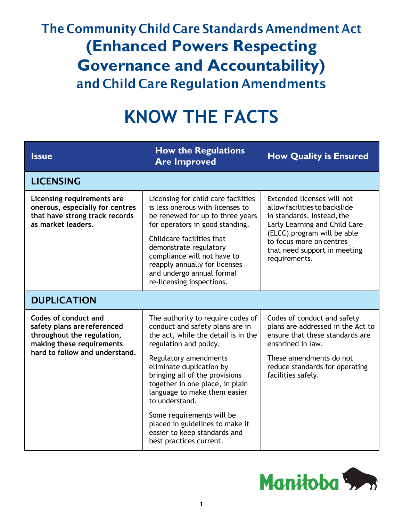## The Community Child Care Standards Amendment Act **(Enhanced Powers Respecting Governance and Accountability)** and Child Care Regulation Amendments

## **KNOW THE FACTS**

| <b>Issue</b>                                                                                                                                     | <b>How the Regulations</b><br><b>Are Improved</b>                                                                                                                                                                                                                                                                                                                                                                                            | <b>How Quality is Ensured</b>                                                                                                                                                                                                          |  |  |
|--------------------------------------------------------------------------------------------------------------------------------------------------|----------------------------------------------------------------------------------------------------------------------------------------------------------------------------------------------------------------------------------------------------------------------------------------------------------------------------------------------------------------------------------------------------------------------------------------------|----------------------------------------------------------------------------------------------------------------------------------------------------------------------------------------------------------------------------------------|--|--|
| <b>LICENSING</b>                                                                                                                                 |                                                                                                                                                                                                                                                                                                                                                                                                                                              |                                                                                                                                                                                                                                        |  |  |
| Licensing requirements are<br>onerous, especially for centres<br>that have strong track records<br>as market leaders.                            | Licensing for child care facilities<br>is less onerous with licenses to<br>be renewed for up to three years<br>for operators in good standing.<br>Childcare facilities that<br>demonstrate regulatory<br>compliance will not have to<br>reapply annually for licenses<br>and undergo annual formal<br>re-licensing inspections.                                                                                                              | Extended licenses will not<br>allow facilities to backslide<br>in standards. Instead, the<br>Early Learning and Child Care<br>(ELCC) program will be able<br>to focus more on centres<br>that need support in meeting<br>requirements. |  |  |
| <b>DUPLICATION</b>                                                                                                                               |                                                                                                                                                                                                                                                                                                                                                                                                                                              |                                                                                                                                                                                                                                        |  |  |
| Codes of conduct and<br>safety plans are referenced<br>throughout the regulation,<br>making these requirements<br>hard to follow and understand. | The authority to require codes of<br>conduct and safety plans are in<br>the act, while the detail is in the<br>regulation and policy.<br>Regulatory amendments<br>eliminate duplication by<br>bringing all of the provisions<br>together in one place, in plain<br>language to make them easier<br>to understand.<br>Some requirements will be<br>placed in guidelines to make it<br>easier to keep standards and<br>best practices current. | Codes of conduct and safety<br>plans are addressed in the Act to<br>ensure that these standards are<br>enshrined in law.<br>These amendments do not<br>reduce standards for operating<br>facilities safely.                            |  |  |

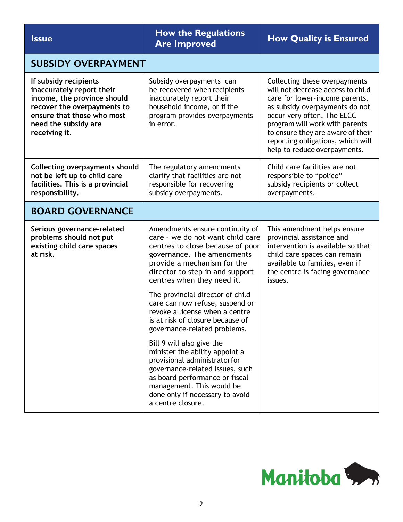**Issue How the Regulations**<br> **ISSUE Are Improved How Quality is Ensured** SUBSIDY OVERPAYMENT **If subsidy recipients inaccurately report their income, the province should recover the overpayments to ensure that those who most need the subsidy are receiving it.** Subsidy overpayments can be recovered when recipients inaccurately report their household income, or if the program provides overpayments in error. Collecting these overpayments will not decrease access to child care for lower-income parents, as subsidy overpayments do not occur very often. The ELCC program will work with parents to ensure they are aware of their reporting obligations, which will help to reduce overpayments. **Collecting overpayments should not be left up to child care facilities. This is a provincial responsibility.** The regulatory amendments clarify that facilities are not responsible for recovering subsidy overpayments. Child care facilities are not responsible to "police" subsidy recipients or collect overpayments. BOARD GOVERNANCE **Serious governance-related problems should not put existing child care spaces at risk.** Amendments ensure continuity of care – we do not want child care centres to close because of poor governance. The amendments provide a mechanism for the director to step in and support centres when they need it. The provincial director of child care can now refuse, suspend or revoke a license when a centre is at risk of closure because of governance-related problems. Bill 9 will also give the minister the ability appoint a provisional administratorfor governance-related issues, such as board performance or fiscal management. This would be done only if necessary to avoid a centre closure. This amendment helps ensure provincial assistance and intervention is available so that child care spaces can remain available to families, even if the centre is facing governance issues.

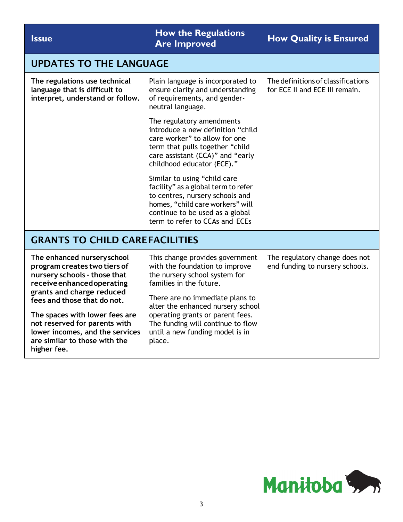| <b>Issue</b>                                                                                                                                                                                                            | <b>How the Regulations</b><br><b>Are Improved</b>                                                                                                                                                                                                                                                                           | <b>How Quality is Ensured</b>                                        |  |  |
|-------------------------------------------------------------------------------------------------------------------------------------------------------------------------------------------------------------------------|-----------------------------------------------------------------------------------------------------------------------------------------------------------------------------------------------------------------------------------------------------------------------------------------------------------------------------|----------------------------------------------------------------------|--|--|
| <b>UPDATES TO THE LANGUAGE</b>                                                                                                                                                                                          |                                                                                                                                                                                                                                                                                                                             |                                                                      |  |  |
| The regulations use technical<br>language that is difficult to<br>interpret, understand or follow.                                                                                                                      | Plain language is incorporated to<br>ensure clarity and understanding<br>of requirements, and gender-<br>neutral language.                                                                                                                                                                                                  | The definitions of classifications<br>for ECE II and ECE III remain. |  |  |
|                                                                                                                                                                                                                         | The regulatory amendments<br>introduce a new definition "child<br>care worker" to allow for one<br>term that pulls together "child<br>care assistant (CCA)" and "early<br>childhood educator (ECE)."                                                                                                                        |                                                                      |  |  |
|                                                                                                                                                                                                                         | Similar to using "child care<br>facility" as a global term to refer<br>to centres, nursery schools and<br>homes, "child care workers" will<br>continue to be used as a global<br>term to refer to CCAs and ECEs                                                                                                             |                                                                      |  |  |
| <b>GRANTS TO CHILD CAREFACILITIES</b>                                                                                                                                                                                   |                                                                                                                                                                                                                                                                                                                             |                                                                      |  |  |
| The enhanced nursery school<br>program creates two tiers of<br>nursery schools - those that<br>receive enhanced operating<br>grants and charge reduced<br>fees and those that do not.<br>The spaces with lower fees are | This change provides government<br>with the foundation to improve<br>the nursery school system for<br>families in the future.<br>There are no immediate plans to<br>alter the enhanced nursery school<br>operating grants or parent fees.<br>The funding will continue to flow<br>until a new funding model is in<br>place. | The regulatory change does not<br>end funding to nursery schools.    |  |  |
| not reserved for parents with<br>lower incomes, and the services<br>are similar to those with the<br>higher fee.                                                                                                        |                                                                                                                                                                                                                                                                                                                             |                                                                      |  |  |